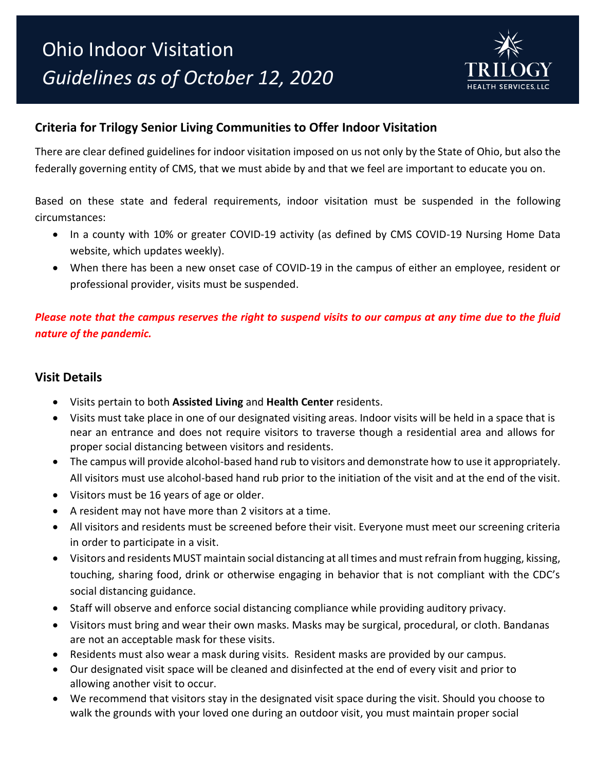

## **Criteria for Trilogy Senior Living Communities to Offer Indoor Visitation**

There are clear defined guidelines for indoor visitation imposed on us not only by the State of Ohio, but also the federally governing entity of CMS, that we must abide by and that we feel are important to educate you on.

Based on these state and federal requirements, indoor visitation must be suspended in the following circumstances:

- In a county with 10% or greater COVID-19 activity (as defined by CMS COVID-19 Nursing Home Data website, which updates weekly).
- When there has been a new onset case of COVID-19 in the campus of either an employee, resident or professional provider, visits must be suspended.

*Please note that the campus reserves the right to suspend visits to our campus at any time due to the fluid nature of the pandemic.*

#### **Visit Details**

- Visits pertain to both **Assisted Living** and **Health Center** residents.
- Visits must take place in one of our designated visiting areas. Indoor visits will be held in a space that is near an entrance and does not require visitors to traverse though a residential area and allows for proper social distancing between visitors and residents.
- The campus will provide alcohol-based hand rub to visitors and demonstrate how to use it appropriately. All visitors must use alcohol-based hand rub prior to the initiation of the visit and at the end of the visit.
- Visitors must be 16 years of age or older.
- A resident may not have more than 2 visitors at a time.
- All visitors and residents must be screened before their visit. Everyone must meet our screening criteria in order to participate in a visit.
- Visitors and residents MUST maintain social distancing at all times and must refrain from hugging, kissing, touching, sharing food, drink or otherwise engaging in behavior that is not compliant with the CDC's social distancing guidance.
- Staff will observe and enforce social distancing compliance while providing auditory privacy.
- Visitors must bring and wear their own masks. Masks may be surgical, procedural, or cloth. Bandanas are not an acceptable mask for these visits.
- Residents must also wear a mask during visits. Resident masks are provided by our campus.
- Our designated visit space will be cleaned and disinfected at the end of every visit and prior to allowing another visit to occur.
- We recommend that visitors stay in the designated visit space during the visit. Should you choose to walk the grounds with your loved one during an outdoor visit, you must maintain proper social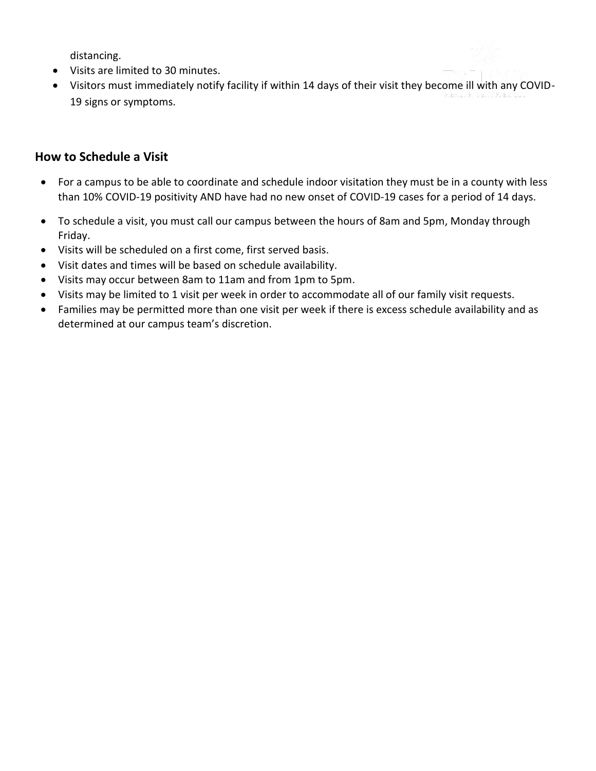distancing.

- Visits are limited to 30 minutes.
- Visitors must immediately notify facility if within 14 days of their visit they become ill with any COVID-19 signs or symptoms.

### **How to Schedule a Visit**

- For a campus to be able to coordinate and schedule indoor visitation they must be in a county with less than 10% COVID-19 positivity AND have had no new onset of COVID-19 cases for a period of 14 days.
- To schedule a visit, you must call our campus between the hours of 8am and 5pm, Monday through Friday.
- Visits will be scheduled on a first come, first served basis.
- Visit dates and times will be based on schedule availability.
- Visits may occur between 8am to 11am and from 1pm to 5pm.
- Visits may be limited to 1 visit per week in order to accommodate all of our family visit requests.
- Families may be permitted more than one visit per week if there is excess schedule availability and as determined at our campus team's discretion.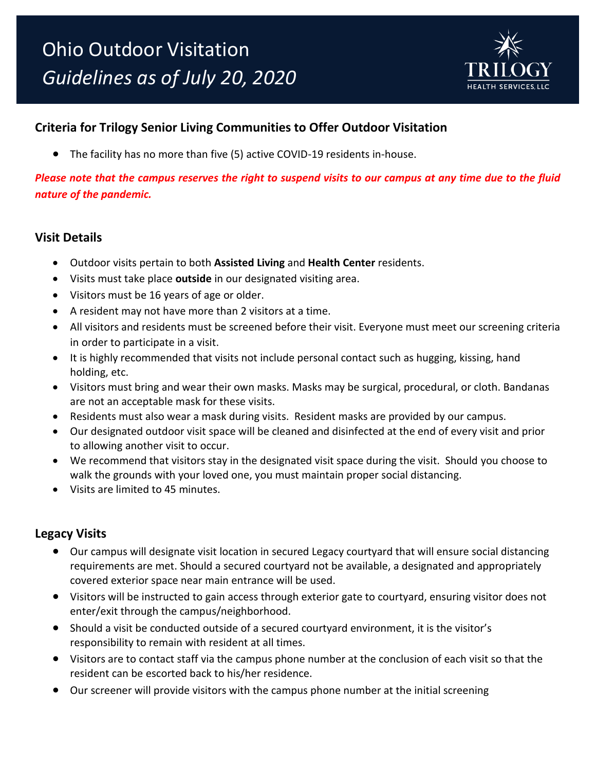

# **Criteria for Trilogy Senior Living Communities to Offer Outdoor Visitation**

• The facility has no more than five (5) active COVID-19 residents in-house.

*Please note that the campus reserves the right to suspend visits to our campus at any time due to the fluid nature of the pandemic.*

#### **Visit Details**

- Outdoor visits pertain to both **Assisted Living** and **Health Center** residents.
- Visits must take place **outside** in our designated visiting area.
- Visitors must be 16 years of age or older.
- A resident may not have more than 2 visitors at a time.
- All visitors and residents must be screened before their visit. Everyone must meet our screening criteria in order to participate in a visit.
- It is highly recommended that visits not include personal contact such as hugging, kissing, hand holding, etc.
- Visitors must bring and wear their own masks. Masks may be surgical, procedural, or cloth. Bandanas are not an acceptable mask for these visits.
- Residents must also wear a mask during visits. Resident masks are provided by our campus.
- Our designated outdoor visit space will be cleaned and disinfected at the end of every visit and prior to allowing another visit to occur.
- We recommend that visitors stay in the designated visit space during the visit. Should you choose to walk the grounds with your loved one, you must maintain proper social distancing.
- Visits are limited to 45 minutes.

#### **Legacy Visits**

- Our campus will designate visit location in secured Legacy courtyard that will ensure social distancing requirements are met. Should a secured courtyard not be available, a designated and appropriately covered exterior space near main entrance will be used.
- Visitors will be instructed to gain access through exterior gate to courtyard, ensuring visitor does not enter/exit through the campus/neighborhood.
- Should a visit be conducted outside of a secured courtyard environment, it is the visitor's responsibility to remain with resident at all times.
- Visitors are to contact staff via the campus phone number at the conclusion of each visit so that the resident can be escorted back to his/her residence.
- Our screener will provide visitors with the campus phone number at the initial screening